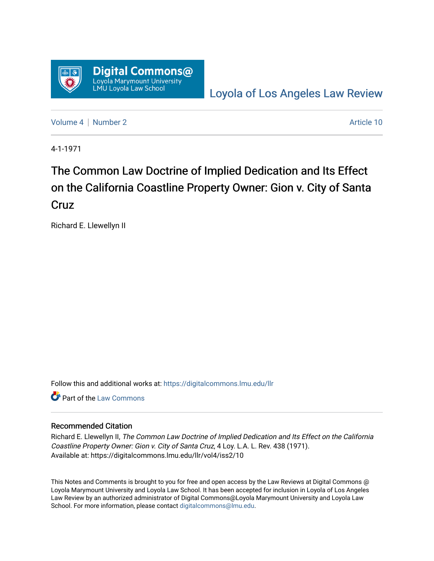

[Loyola of Los Angeles Law Review](https://digitalcommons.lmu.edu/llr) 

[Volume 4](https://digitalcommons.lmu.edu/llr/vol4) | [Number 2](https://digitalcommons.lmu.edu/llr/vol4/iss2) Article 10

4-1-1971

# The Common Law Doctrine of Implied Dedication and Its Effect on the California Coastline Property Owner: Gion v. City of Santa Cruz

Richard E. Llewellyn II

Follow this and additional works at: [https://digitalcommons.lmu.edu/llr](https://digitalcommons.lmu.edu/llr?utm_source=digitalcommons.lmu.edu%2Fllr%2Fvol4%2Fiss2%2F10&utm_medium=PDF&utm_campaign=PDFCoverPages) 

**C** Part of the [Law Commons](https://network.bepress.com/hgg/discipline/578?utm_source=digitalcommons.lmu.edu%2Fllr%2Fvol4%2Fiss2%2F10&utm_medium=PDF&utm_campaign=PDFCoverPages)

### Recommended Citation

Richard E. Llewellyn II, The Common Law Doctrine of Implied Dedication and Its Effect on the California Coastline Property Owner: Gion v. City of Santa Cruz, 4 Loy. L.A. L. Rev. 438 (1971). Available at: https://digitalcommons.lmu.edu/llr/vol4/iss2/10

This Notes and Comments is brought to you for free and open access by the Law Reviews at Digital Commons @ Loyola Marymount University and Loyola Law School. It has been accepted for inclusion in Loyola of Los Angeles Law Review by an authorized administrator of Digital Commons@Loyola Marymount University and Loyola Law School. For more information, please contact [digitalcommons@lmu.edu.](mailto:digitalcommons@lmu.edu)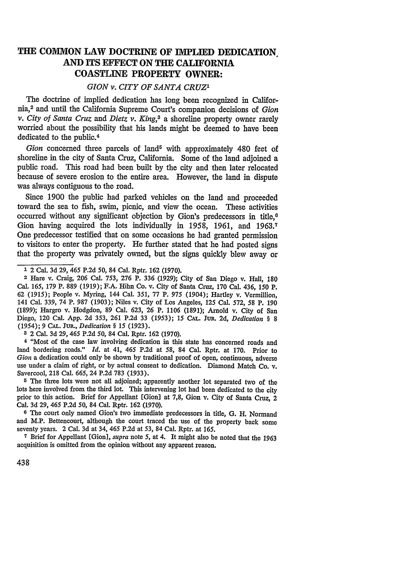## **THE COMMON LAW DOCTRINE OF IMPLIED DEDICATION AND ITS EFFECT ON THE CALIFORNIA COASTLINE PROPERTY OWNER:**

#### *GION v. CITY OF SANTA CRUZ1*

The doctrine of implied dedication has long been recognized in California,2 and until the California Supreme Court's companion decisions of *Gion v. City of Santa Cruz and Dietz v. King,3* a shoreline property owner rarely worried about the possibility that his lands might be deemed to have been dedicated to the public.<sup>4</sup>

Gion concerned three parcels of land<sup>5</sup> with approximately 480 feet of shoreline in the city of Santa Cruz, California. Some of the land adjoined a public road. This road had been built by the city and then later relocated because of severe erosion to the entire area. However, the land in dispute was always contiguous to the road.

Since 1900 the public had parked vehicles on the land and proceeded toward the sea to fish, swim, picnic, and view the ocean. These activities occurred without any significant objection by Gion's predecessors in title.<sup>6</sup> Gion having acquired the lots individually in 1958, 1961, and 1963.<sup>7</sup> One predecessor testified that on some occasions he had granted permission to visitors to enter the property. He further stated that he had posted signs that the property was privately owned, but the signs quickly blew away or

**3** 2 Cal. 3d **29,** *465* P.2d *50,* 84 Cal. Rptr. 162 (1970).

**4** "Most of the case law involving dedication in this state has concerned roads and land bordering roads." *Id.* at 41, *465* P.2d at 58, 84 Cal. Rptr. at 170. Prior to *Gion* a dedication could only be shown by traditional proof of open, continuous, adverse use under a claim of right, or by actual consent to dedication. Diamond Match Co. v. Savercool, 218 Cal. 665, 24 P.2d 783 (1933).

**<sup>5</sup>**The three lots were not all adjoined; apparently another lot separated two of the lots here involved from the third lot. This intervening lot had been dedicated to the city prior to this action. Brief for Appellant [Gion] at 7,8, Gion v. City of Santa Cruz, 2 Cal. 3d **29,** 465 P.2d 50, 84 Cal. Rptr. 162 (1970).

**<sup>6</sup>**The court only named Gion's two immediate predecessors in title, **G.** H. Normand and M.P. Bettencourt, although the court traced the use of the property back some seventy years. 2 Cal. 3d at 34, 465 P.2d at *53,* 84 Cal. Rptr. at 165.

**<sup>7</sup>**Brief for Appellant [Gion], *supra* note *5,* at 4. It might also be noted that the 1963 acquisition is omitted from the opinion without any apparent reason.

**<sup>1</sup>** 2 Cal. 3d 29, 465 P.2d 50, 84 Cal. Rptr. 162 (1970).

**<sup>2</sup>** Hare v. Craig, **206** Cal. 753, **276** P. 336 (1929); City of San Diego v. Hall, **180** Cal. 165, 179 P. 889 (1919); F.A. Hihn Co. v. City of Santa Cruz, 170 Cal. 436, 150 P. 62 (1915); People v. Myring, 144 Cal. 351, 77 P. 975 (1904); Hartley v. Vermillion, 141 Cal. 339, 74 P. 987 (1903); Niles v. City of Los Angeles, 125 Cal. 572, 58 P. 190 (1899); Hargro v. Hodgdon, 89 Cal. 623, **26** P. 1106 (1891); Arnold v. City of San Diego, 120 Cal. App. 2d 353, 261 P.2d 33 (1953); 15 **CAL.** Jun. 2d, *Dedication §* 8 (1954); 9 CAL. *Jun., Dedication §* 15 (1923).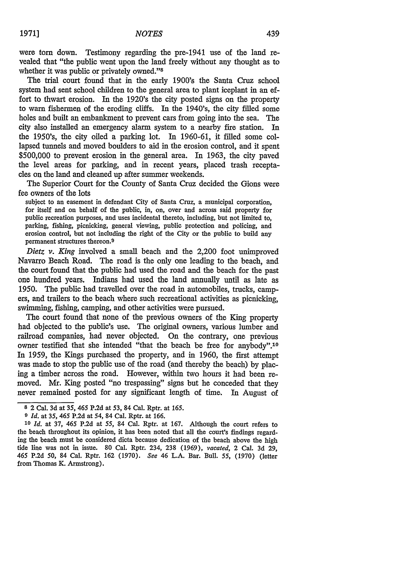were torn down. Testimony regarding the pre-1941 use of the land revealed that "the public went upon the land freely without any thought as to whether it was public or privately owned."<sup>8</sup>

The trial court found that in the early 1900's the Santa Cruz school system had sent school children to the general area to plant iceplant in an effort to thwart erosion. In the 1920's the city posted signs on the property to warn fishermen of the eroding cliffs. In the 1940's, the city filled some holes and built an embankment to prevent cars from going into the sea. The city also installed an emergency alarm system to a nearby fire station. In the 1950's, the city oiled a parking lot. In 1960-61, it filled some collapsed tunnels and moved boulders to aid in the erosion control, and it spent \$500,000 to prevent erosion in the general area. In 1963, the city paved the level areas for parking, and in recent years, placed trash receptacles on the land and cleaned up after summer weekends.

The Superior Court for the County of Santa Cruz decided the Gions were fee owners of the lots

subject to an easement in defendant City of Santa Cruz, a municipal corporation, for itself and on behalf of the public, in, on, over and across said property for public recreation purposes, and uses incidental thereto, including, but not limited to, parking, fishing, picnicking, general viewing, public protection and policing, and erosion control, but not including the right of the City or the public to build any permanent structures thereon. <sup>9</sup>

*Dietz v. King* involved a small beach and the 2,200 foot unimproved Navarro Beach Road. The road is the only one leading to the beach, and the court found that the public had used the road and the beach for the past one hundred years. Indians had used the land annually until as late as 1950. The public had travelled over the road in automobiles, trucks, campers, and trailers to the beach where such recreational activities as picnicking, swimming, fishing, camping, and other activities were pursued.

The court found that none of the previous owners of the King property had objected to the public's use. The original owners, various lumber and railroad companies, had never objected. On the contrary, one previous owner testified that she intended "that the beach be free for anybody".<sup>10</sup> In 1959, the Kings purchased the property, and in 1960, the first attempt was made to stop the public use of the road (and thereby the beach) by placing a timber across the road. However, within two hours it had been removed. Mr. King posted "no trespassing" signs but he conceded that they never remained posted for any significant length of time. In August of

**<sup>8</sup>** 2 Cal. 3d at 35, *465* P.2d at 53, 84 Cal. Rptr. at 165.

*<sup>9</sup> Id.* at *35,* 465 P.2d at 54, 84 Cal. Rptr. at 166.

*<sup>10</sup>Id.* at 37, 465 P.2d at 55, 84 Cal. Rptr. at 167. Although the court refers to the beach throughout its opinion, it has been noted that all the court's findings regarding the beach must be considered dicta because dedication of the beach above the high tide line was not in issue. 80 Cal. Rptr. 234, 238 (1969), *vacated,* 2 Cal. 3d 29, 465 P.2d *50,* 84 Cal. Rptr. 162 (1970). *See* 46 L.A. Bar. Bull. 55, (1970) (letter from Thomas K. Armstrong).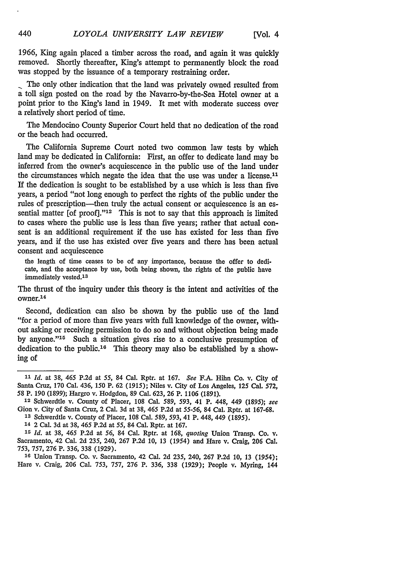1966, King again placed a timber across the road, and again it was quickly removed. Shortly thereafter, King's attempt to permanently block the road was stopped by the issuance of a temporary restraining order.

The only other indication that the land was privately owned resulted from a toll sign posted on the road by the Navarro-by-the-Sea Hotel owner at a point prior to the King's land in 1949. It met with moderate success over a relatively short period of time.

The Mendocino County Superior Court held that no dedication of the road or the beach had occurred.

The California Supreme Court noted two common law tests by which land may be dedicated in California: First, an offer to dedicate land may be inferred from the owner's acquiescence in the public use of the land under the circumstances which negate the idea that the use was under a license.<sup>11</sup> If the dedication is sought to be established by a use which is less than five years, a period "not long enough to perfect the rights of the public under the rules of prescription-then truly the actual consent or acquiescence is an essential matter [of proof]. $"12$  This is not to say that this approach is limited to cases where the public use is less than five years; rather that actual consent is an additional requirement if the use has existed for less than five years, and if the use has existed over five years and there has been actual consent and acquiescence

the length of time ceases to be of any importance, because the offer to dedicate, and the acceptance **by** use, both being shown, the rights of the public have immediately vested.<sup>13</sup>

The thrust of the inquiry under this theory is the intent and activities of the owner. <sup>14</sup>

Second, dedication can also be shown by the public use of the land "for a period of more than five years with full knowledge of the owner, without asking or receiving permission to do so and without objection being made by anyone." $15$  Such a situation gives rise to a conclusive presumption of dedication to the public.<sup>16</sup> This theory may also be established by a showing of

440

*<sup>11</sup>Id.* at 38, 465 P.2d at *55,* 84 Cal. Rptr. at 167. *See* F.A. Hihn Co. v. City of Santa Cruz, **170** Cal. 436, **150** P. **62 (1915);** Niles v. City of Los Angeles, **125** Cal. **572,** 58 P. 190 (1899); Hargro v. Hodgdon, 89 Cal. 623, **26** P. 1106 (1891). **<sup>12</sup>**Schwerdtle v. County of Placer, 108 Cal. 589, 593, 41 P. 448, 449 (1895); *see*

Gion v. City of Santa Cruz, 2 Cal. 3d at 38, 465 P.2d at *55-56,* 84 Cal. Rptr. at 167-68. **<sup>13</sup>**Schwerdtle v. County of Placer, 108 Cal. 589, *593,* 41 P. 448, 449 (1895).

**<sup>14</sup>** 2 Cal. 3d at 38, 465 P.2d at 55, 84 Cal. Rptr. at 167.

*<sup>15</sup>Id.* at 38, 465 P.2d at **56,** 84 Cal. Rptr. at 168, *quoting* Union Transp. Co. v. Sacramento, 42 Cal. 2d 235, 240, 267 P.2d 10, 13 (1954) and Hare v. Craig, **206** Cal. 753, 757, **276** P. 336, 338 (1929).

**<sup>16</sup>**Union Transp. Co. v. Sacramento, 42 Cal. **2d** 235, 240, **267 P.2d 10, 13** *(1954);* Hare v. Craig, **206** Cal. 753, 757, 276 P. 336, 338 (1929); People v. Myring, 144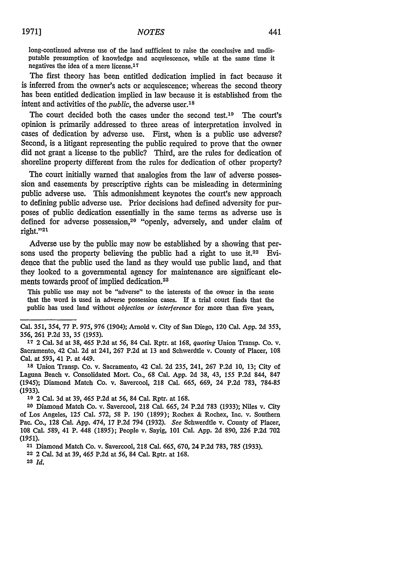long-continued adverse use of the land sufficient to raise the conclusive and undisputable presumption of knowledge and acquiescence, while at the same time it negatives the idea of a mere license.<sup>17</sup>

The first theory has been entitled dedication implied in fact because it is inferred from the owner's acts or acquiescence; whereas the second theory has been entitled dedication implied in law because it is established from the intent and activities of the *public*, the adverse user.<sup>18</sup>

The court decided both the cases under the second test.<sup>19</sup> The court's opinion is primarily addressed to three areas of interpretation involved in cases of dedication by adverse use. First, when is a public use adverse? Second, is a litigant representing the public required to prove that the owner did not grant a license to the public? Third, are the rules for dedication of shoreline property different from the rules for dedication of other property?

The court initially warned that analogies from the law of adverse possession and easements by prescriptive rights can be misleading in determining public adverse use. This admonishment keynotes the court's new approach to defining public adverse use. Prior decisions had defined adversity for purposes of public dedication essentially in the same terms as adverse use is defined for adverse possession,<sup>20</sup> "openly, adversely, and under claim of right."21

Adverse use by the public may now be established by a showing that persons used the property believing the public had a right to use it.<sup>22</sup> Evidence that the public used the land as they would use public land, and that they looked to a governmental agency for maintenance are significant elements towards proof of implied dedication.<sup>23</sup>

This public use may not be "adverse" to the interests of the owner in the sense that the word is used in adverse possession cases. If a trial court finds that the public has used land without *objection or interference* for more than five years,

**<sup>18</sup>**Union Transp. Co. v. Sacramento, 42 Cal. 2d 235, 241, 267 P.2d 10, 13; City of Laguna Beach v. Consolidated Mort. Co., 68 Cal. App. 2d 38, 43, 155 P.2d 844, 847 (1945); Diamond Match Co. v. Savercool, **218** Cal. 665, 669, 24 P.2d 783, 784-85 **(1933).**

**19** 2 Cal. 3d at 39, 465 P.2d at *56,* 84 Cal. Rptr. at 168.

**21** Diamond Match Co. v. Savercool, **218** Cal. 665, 670, 24 P.2d 783, 785 (1933).

**22** 2 Cal. 3d at 39, 465 P.2d at *56,* 84 Cal. Rptr. at 168.

Cal. *351,* 354, 77 P. *975,* 976 (1904); Arnold v. City of San Diego, 120 Cal. App. 2d 353, 356, **261** P.2d 33, 35 (1953).

**<sup>17</sup>**2 Cal. 3d at 38, 465 P.2d at *56,* 84 Cal. Rptr. at 168, *quoting* Union Transp. Co. v. Sacramento, 42 Cal. 2d at 241, 267 P.2d at **13** and Schwerdtle v. County of Placer, **108** Cal. at 593, 41 P. at 449.

**<sup>20</sup>** Diamond Match Co. v. Savercool, 218 Cal. 665, 24 P.2d 783 (1933); Niles v. City of Los Angeles, **125** Cal. 572, 58 P. **190** (1899); Rochex & Rochex, Inc. v. Southern Pac. Co., 128 Cal. App. 474, **17** P.2d 794 (1932). *See* Schwerdtle v. County of Placer, **108** Cal. 589, 41 P. 448 (1895); People v. Sayig, **101** Cal. App. 2d 890, 226 P.2d 702 *(1951).*

*<sup>2</sup>a Id.*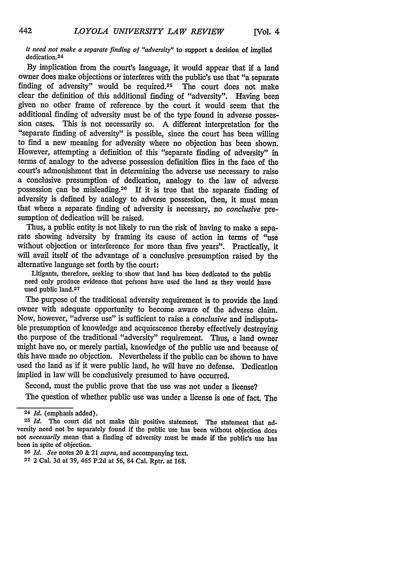#### *it need not make a separate finding of "adversity"* to support a decision of implied dedication. <sup>24</sup>

**By** implication from the court's language, it would appear that **if** a land owner does make objections or interferes with the public's use that "a separate finding of adversity" would be required.<sup>25</sup> The court does not make clear the definition of this additional finding of "adversity". Having been given no other frame of reference **by** the court it would seem that the additional finding of adversity must be of the type found in adverse possession cases. This is not necessarily so. A different interpretation for the "separate finding of adversity" is possible, since the court has been willing to find a new meaning for adversity where no objection has been shown. However, attempting a definition of this "separate finding of adversity" in terms of analogy to the adverse possession definition flies in the face of the court's admonishment that in determining the adverse use necessary to raise a conclusive presumption of dedication, analogy to the law of adverse possession can be misleading.26 If it is true that the separate finding of adversity is defined by analogy to adverse possession, then, it must mean that where a separate finding of adversity is necessary, no *conclusive* presumption of dedication will be raised.

Thus, a public entity is not likely to run the risk of having to make a separate showing adversity by framing its cause of action in terms of "use without objection or interference for more than five years". Practically, it will avail itself of the advantage of a conclusive presumption raised by the alternative language set forth by the court:

Litigants, therefore, seeking to show that land has been dedicated to the public need only produce evidence that peisons have used the land as they would have used public land.<sup>27</sup>

The purpose of the traditional adversity requirement is to provide the land owner with adequate opportunity to become aware of the adverse claim. Now, however, "adverse use" is sufficient to raise a *conclusive* and indisputable presumption of knowledge and acquiescence thereby effectively destroying the purpose of the traditional "adversity" requirement. Thus, a land owner might have no, or merely partial, knowledge of the public use and because of this have made no objection. Nevertheless if the public can be shown to have used the land as if it were public land, he will have no defense. Dedication implied in law will be conclusively presumed to have occurred.

Second, must the public prove that the use was not under a license?

The question of whether public use was under a license is one of fact. The

442

<sup>24</sup>*Id.* (emphasis added).

**<sup>25</sup>** *Id.* The court did not make this positive statement. The statement that adversity need not be separately found if the public use has been without objection does not *necessarily* mean that a finding of adversity must be made if the public's use has been in spite of objection.

<sup>26</sup> *Id. See* notes 20 & 21 *supra,* and accompanying text.

**<sup>27</sup>** 2 Cal. 3d at 39, 465 P.2d at *56,* 84 Cal. Rptr. at 168.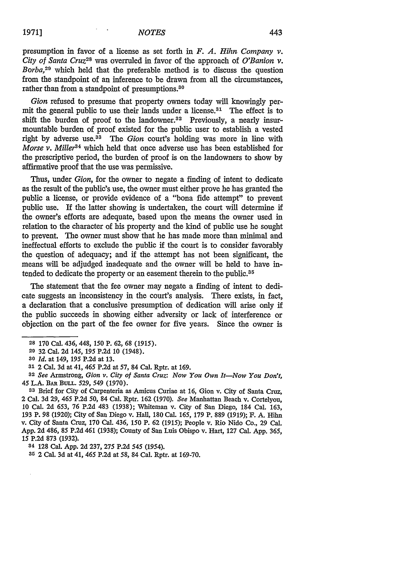presumption in favor of a license as set forth in  $F$ .  $A$ . *Hihn Company v*. *City of Santa Cruz28* was overruled in favor of the approach of *O'Banion v. Borba,29* which held that the preferable method is to discuss the question from the standpoint of an inference to be drawn from **all** the circumstances, rather than from a standpoint of presumptions.<sup>30</sup>

*Gion* refused to presume that property owners today will knowingly permit the general public to use their lands under a license.<sup>31</sup> The effect is to shift the burden of proof to the landowner.<sup>32</sup> Previously, a nearly insurmountable burden of proof existed for the public user to establish a vested right by adverse use.<sup>33</sup> The *Gion* court's holding was more in line with *Morse v. Miller34* which held that once adverse use has been established for the prescriptive period, the burden of proof is on the landowners to show **by** affirmative proof that the use was permissive.

Thus, under *Gion,* for the owner to negate a finding of intent to dedicate as the result of the public's use, the owner must either prove he has granted the public a license, or provide evidence of a "bona fide attempt" to prevent public use. **If** the latter showing is undertaken, the court will determine if the owner's efforts are adequate, based upon the means the owner used in relation to the character of his property and the kind of public use he sought to prevent. The owner must show that he has made more than minimal and ineffectual efforts to exclude the public if the court is to consider favorably the question of adequacy; and if the attempt has not been significant, the means will be adjudged inadequate and the owner will be held to have intended to dedicate the property or an easement therein to the public.<sup>35</sup>

The statement that the fee owner may negate a finding of intent to dedicate suggests an inconsistency in the court's analysis. There exists, in fact, a declaration that a conclusive presumption of dedication will arise only **if** the public succeeds in showing either adversity or lack of interference or objection on the part of the fee owner for five years. Since the owner is

**34** 128 Cal. **App.** 2d 237, 275 P.2d *545 (1954).*

**35** 2 Cal. 3d at 41, 465 P.2d at 58, 84 Cal. Rptr. at 169-70.

**<sup>28</sup>** 170 Cal. 436, 448, 150 P. 62, 68 *(1915).*

**<sup>20</sup>** 32 Cal. **2d** 145, *195* **P.2d** 10 (1948).

**<sup>30</sup>** *Id.* at 149, 195 P.2d at 13.

**<sup>31</sup>** 2 Cal. 3d at 41, 465 **P.2d** at 57, 84 Cal. Rptr. at 169.

**<sup>32</sup>***See* Armstrong, *Gion v. City of Santa Cruz: Now You Own It-Now You Don't,* 45 **L.A. BAR BuLL.** *529, 549* **(1970).**

**<sup>33</sup>** Brief for City of Carpenteria as Amicus Curiae at **16,** Gion v. City of Santa Cruz, 2 Cal. 3d 29, 465 P.2d 50, 84 Cal. Rptr. 162 (1970). *See* Manhattan Beach v. Cortelyou, 10 Cal. 2d 653, 76 P.2d 483 (1938); Whiteman v. City of San Diego, 184 Cal. 163, 193 P. 98 (1920); City of San Diego v. Hall, 180 Cal. 165, 179 P. 889 (1919); F. **A. Hihn** v. City of Santa Cruz, 170 Cal. 436, 150 P. 62 (1915); People v. Rio Nido Co., 29 Cal. **App.** 2d 486, 85 P.2d 461 (1938); County of San Luis Obispo v. Hart, 127 Cal. **App.** 365, 15 P.2d 873 (1932).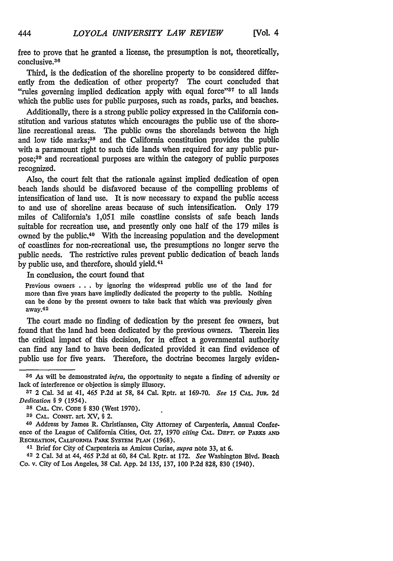free to prove that he granted a license, the presumption is not, theoretically, conclusive. <sup>36</sup>

Third, is the dedication of the shoreline property to be considered differently from the dedication of other property? The court concluded that "rules governing implied dedication apply with equal force"<sup>37</sup> to all lands which the public uses for public purposes, such as roads, parks, and beaches.

Additionally, there is a strong public policy expressed in the California constitution and various statutes which encourages the public use of the shoreline recreational areas. The public owns the shorelands between the high and low tide marks;<sup>38</sup> and the California constitution provides the public with a paramount right to such tide lands when required for any public purpose;<sup>39</sup> and recreational purposes are within the category of public purposes recognized.

Also, the court felt that the rationale against implied dedication of open beach lands should be disfavored because of the compelling problems of intensification of land use. It is now necessary to expand the public access to and use of shoreline areas because of such intensification. Only 179 miles of California's 1,051 mile coastline consists of safe beach lands suitable for recreation use, and presently only one half of the 179 miles is owned by the public.<sup>40</sup> With the increasing population and the development of coastlines for non-recreational use, the presumptions no longer serve the public needs. The restrictive rules prevent public dedication of beach lands by public use, and therefore, should yield. <sup>41</sup>

In conclusion, the court found that

Previous owners ... by ignoring the widespread public use of the land for more than five years have impliedly dedicated the property to the public. Nothing can be done by the present owners to take back that which was previously given away.<sup>42</sup>

The court made no finding of dedication by the present fee owners, but found that the land had been dedicated by the previous owners. Therein lies the critical impact of this decision, for in effect a governmental authority can find any land to have been dedicated provided it can find evidence of public use for five years. Therefore, the doctrine becomes largely eviden-

**<sup>36</sup>** As will be demonstrated *infra,* the opportunity to negate a finding of adversity or lack of interference or objection is simply illusory.

**<sup>37</sup>** 2 Cal. 3d at 41, 465 P.2d at 58, 84 Cal. Rptr. at 169-70. *See* 15 **CAL.** Jun. 2d *Dedication § 9 (1954).*

**<sup>38</sup> CAL.** Crv. CODE § 830 (West 1970).

**<sup>39</sup> CAL.** CONsT. art. XV, § 2.

**<sup>40</sup>** Address **by** James R. Christiansen, City Attorney of Carpenteria, Annual Conference of the League of California Cities, Oct. 27, 1970 *citing* **CAL. DEPT. op** PARKs **AND** RECREATION, CALIFORNIA PARK SYSTEM **PLAN** (1968).

**<sup>41</sup>**Brief for City of Carpenteria as Amicus Curiae, *supra* note 33, at 6.

**<sup>42</sup>** 2 Cal. 3d at 44, 465 P.2d at 60, 84 Cal. Rptr. at 172. *See* Washington Blvd, Beach Co. v. City of Los Angeles, 38 Cal. App. 2d 135, 137, 100 P.2d 828, 830 (1940).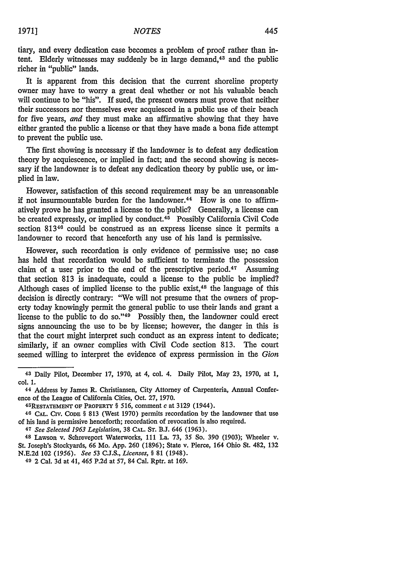445

tiary, and every dedication case becomes a problem of proof rather than intent. Elderly witnesses may suddenly be in large demand, $43$  and the public richer in "public" lands.

It is apparent from this decision that the current shoreline property owner may have to worry a great deal whether or not his valuable beach will continue to be "his". If sued, the present owners must prove that neither their successors nor themselves ever acquiesced in a public use of their beach for five years, *and* they must make an affirmative showing that they have either granted the public a license or that they have made a bona fide attempt to prevent the public use.

The first showing is necessary if the landowner is to defeat any dedication theory by acquiescence, or implied in fact; and the second showing is necessary if the landowner is to defeat any dedication theory by public use, or implied in law.

However, satisfaction of this second requirement may be an unreasonable if not insurmountable burden for the landowner. 44 How is one to affirmatively prove he has granted a license to the public? Generally, a license can be created expressly, or implied by conduct. 45 Possibly California Civil Code section 81346 could be construed as an express license since it permits a landowner to record that henceforth any use of his land is permissive.

However, such recordation is only evidence of permissive use; no case has held that recordation would be sufficient to terminate the possession claim of a user prior to the end of the prescriptive period.<sup>47</sup> Assuming that section 813 is inadequate, could a license to the public be implied? Although cases of implied license to the public exist,<sup>48</sup> the language of this decision is directly contrary: "We will not presume that the owners of property today knowingly permit the general public to use their lands and grant a license to the public to do so."<sup>49</sup> Possibly then, the landowner could erect signs announcing the use to be by license; however, the danger in this is that the court might interpret such conduct as an express intent to dedicate; similarly, if an owner complies with Civil Code section 813. The court seemed willing to interpret the evidence of express permission in the *Gion*

<sup>47</sup>*See Selected 1963 Legislation,* 38 **CAL.** ST. **B.J.** 646 (1963).

48 Lawson v. Schreveport Waterworks, 111 La. 73, 35 So. 390 (1903); Wheeler v. St. Joseph's Stockyards, 66 Mo. App. 260 (1896); State v. Pierce, 164 Ohio St. 482, 132 N.E.2d 102 (1956). *See* 53 C.J.S., *Licenses, §* 81 (1948).

**49** 2 Cal. 3d at 41, 465 P.2d at 57, 84 Cal. Rptr. at 169.

**<sup>43</sup>** Daily Pilot, December 17, 1970, at 4, col. 4. Daily Pilot, May 23, 1970, at 1, col. **1.**

**<sup>44</sup>** Address by James R. Christiansen, City Attorney of Carpenteria, Annual Conference of the League of California Cities, Oct. 27, 1970.

<sup>45</sup>REsTATEMENT **OF PROPERTY** § 516, comment *c* at 3129 (1944).

<sup>46</sup>CAL. CIV. **CODE** § 813 (West 1970) permits recordation by the landowner that use of his land is permissive henceforth; recordation of revocation is also required.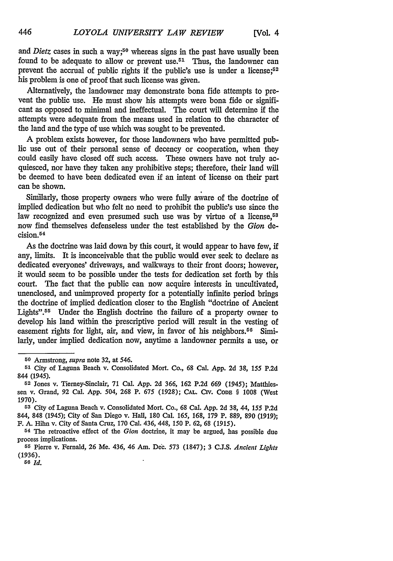and *Dietz* cases in such a way;<sup>50</sup> whereas signs in the past have usually been found to be adequate to allow or prevent use.<sup> $51$ </sup> Thus, the landowner can prevent the accrual of public rights if the public's use is under a license;<sup>52</sup> his problem is one of proof that such license was given.

Alternatively, the landowner may demonstrate bona fide attempts to prevent the public use. He must show his attempts were bona fide or significant as opposed to minimal and ineffectual. The court will determine if the attempts were adequate from the means used in relation to the character of the land and the type of use which was sought to be prevented.

A problem exists however, for those landowners who have permitted public use out of their personal sense of decency or cooperation, when they could easily have closed off such access. These owners have not truly acquiesced, nor have they taken any prohibitive steps; therefore, their land will be deemed to have been dedicated even if an intent of license on their part can be shown.

Similarly, those property owners who were fully aware of the doctrine of implied dedication but who felt no need to prohibit the public's use since the law recognized and even presumed such use was by virtue of a license,<sup>53</sup> now find themselves defenseless under the test established by the *Gion* decision.<sup>54</sup>

As the doctrine was laid down by this court, it would appear to have few, if any, limits. It is inconceivable that the public would ever seek to declare as dedicated everyones' driveways, and walkways to their front doors; however, it would seem to be possible under the tests for dedication set forth by this court. The fact that the public can now acquire interests in uncultivated, unenclosed, and unimproved property for a potentially infinite period brings the doctrine of implied dedication closer to the English "doctrine of Ancient Lights".<sup>55</sup> Under the English doctrine the failure of a property owner to develop his land within the prescriptive period will result in the vesting of easement rights for light, air, and view, in favor of his neighbors.<sup>56</sup> Similarly, under implied dedication now, anytime a landowner permits a use, or

*56 Id.*

**<sup>50</sup>** Armstrong, *supra* note 32, at 546.

**<sup>51</sup>** City of Laguna Beach v. Consolidated Mort. Co., **68** Cal. App. 2d 38, 155 P.2d 844 (1945).

**<sup>52</sup>** Jones v. Tierney-Sinclair, **71** Cal. **App. 2d 366, 162 P.2d 669** *(1945);* Matthlessen v. Grand, 92 Cal. **App.** 504, **268** P. 675 (1928); **CAL. CIV. CODE** § 1008 (West 1970).

<sup>53</sup> City of Laguna Beach v. Consolidated Mort. Co., 68 Cal. App. **2d** 38, 44, *155* P.2d 844, 848 (1945); City of San Diego v. Hall, 180 Cal. *165,* 168, 179 P. 889, 890 (1919); F. A. Hilm v. City of Santa Cruz, 170 Cal. 436, 448, 150 P. 62, **68** *(1915).*

**<sup>54</sup>** The retroactive effect of the *Gion* doctrine, it may be argued, has possible due process implications.

**<sup>55</sup>** Pierre v. Fernald, 26 Me. 436, 46 Am. Dec. 573 (1847); 3 C.J.S. *Ancient Lights* (1936).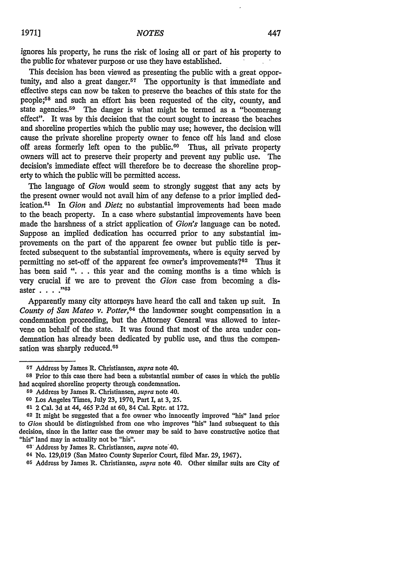ignores his property, he runs the risk of losing all or part of his property to the public for whatever purpose or use they have established.

This decision has been viewed as presenting the public with a great opportunity, and also a great danger.57 The opportunity is that immediate and effective steps can now be taken to preserve the beaches of this state for the people;58 and such an effort has been requested of the city, county, and state agencies.<sup>59</sup> The danger is what might be termed as a "boomerang" effect". It was by this decision that the court sought to increase the beaches and shoreline properties which the public may use; however, the decision will cause the private shoreline property owner to fence off his land and close off areas formerly left open to the public.<sup>60</sup> Thus, all private property owners will act to preserve their property and prevent any public use. The decision's immediate effect will therefore be to decrease the shoreline property to which the public will be permitted access.

The language of *Gion* would seem to strongly suggest that any acts by the present owner would not avail him of any defense to a prior implied dedication. 61 In *Gion and Dietz* no substantial improvements had been made to the beach property. In a case where substantial improvements have been made the harshness of a strict application of *Gion's* language can be noted. Suppose an implied dedication has occurred prior to any substantial improvements on the part of the apparent fee owner but public title is perfected subsequent to the substantial improvements, where is equity served by permitting no set-off of the apparent fee owner's improvements?62 Thus it has been said ". . . this year and the coming months is a time which is very crucial if we are to prevent the *Gion* case from becoming a disaster . . . . "<sup>63</sup>

Apparently many city attoreys have heard the call and taken up suit. In *County of San Mateo v. Potter,64* the landowner sought compensation in a condemnation proceeding, but the Attorney General was allowed to intervene on behalf of the state. It was found that most of the area under condemnation has already been dedicated by public use, and thus the compensation was sharply reduced.<sup>65</sup>

**<sup>57</sup>** Address by James R. Christiansen, *supra* note 40.

**U8** Prior to this case there had been a substantial number of cases in which the public had acquired shoreline property through condemnation.

**<sup>59</sup>**Address by James R. Christiansen, *supra* note 40.

**<sup>60</sup>**Los Angeles Times, July 23, 1970, Part I, at 3, 25.

**<sup>61</sup>** 2 Cal. 3d at 44, 465 P.2d at 60, 84 Cal. Rptr. at 172.

**<sup>62</sup>**It might be suggested that a fee owner who innocently improved "his" land prior to *Gion* should be distinguished from one who improves "his" land subsequent to this decision, since in the latter case the owner may be said to have constructive notice that "his" land may in actuality not be "his".

**<sup>63</sup>** Address by James R. Christiansen, *supra* note'40.

**<sup>64</sup>** No. 129,019 (San Mateo County Superior Court, filed Mar. 29, 1967).

**<sup>05</sup>**Address by James R. Christiansen, *supra* note 40. Other similar suits are City of